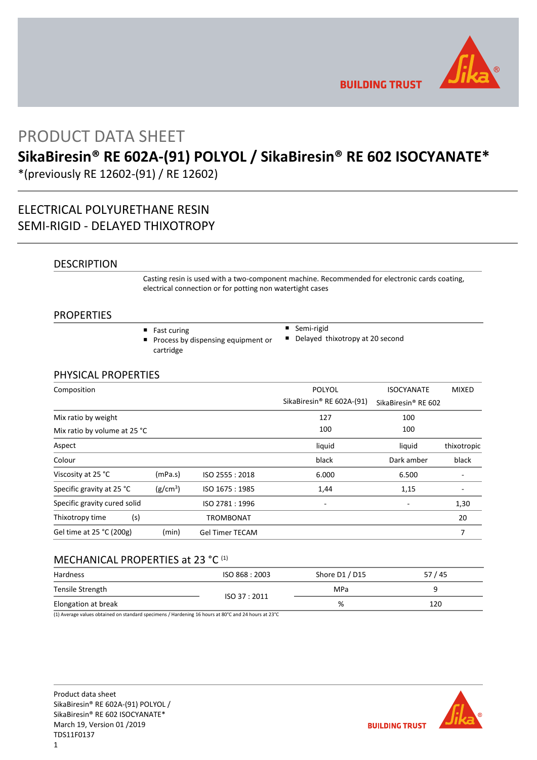

**BUILDING TRUST** 

## PRODUCT DATA SHEET

# **SikaBiresin® RE 602A-(91) POLYOL / SikaBiresin® RE 602 ISOCYANATE\***

\*(previously RE 12602-(91) / RE 12602)

## ELECTRICAL POLYURETHANE RESIN SEMI-RIGID - DELAYED THIXOTROPY

## DESCRIPTION

Casting resin is used with a two-component machine. Recommended for electronic cards coating, electrical connection or for potting non watertight cases

## PROPERTIES

- Fast curing
- **Process by dispensing equipment or** cartridge
- Semi-rigid
- Delayed thixotropy at 20 second

## PHYSICAL PROPERTIES

| Composition                  |                      |                        | <b>POLYOL</b>             | <b>ISOCYANATE</b>   | <b>MIXED</b> |
|------------------------------|----------------------|------------------------|---------------------------|---------------------|--------------|
|                              |                      |                        | SikaBiresin® RE 602A-(91) | SikaBiresin® RE 602 |              |
| Mix ratio by weight          |                      |                        | 127                       | 100                 |              |
| Mix ratio by volume at 25 °C |                      |                        | 100                       | 100                 |              |
| Aspect                       |                      |                        | liquid                    | liquid              | thixotropic  |
| Colour                       |                      |                        | black                     | Dark amber          | black        |
| Viscosity at 25 °C           | (mPa.s)              | ISO 2555: 2018         | 6.000                     | 6.500               |              |
| Specific gravity at 25 °C    | (g/cm <sup>3</sup> ) | ISO 1675: 1985         | 1,44                      | 1,15                |              |
| Specific gravity cured solid |                      | ISO 2781:1996          |                           |                     | 1,30         |
| Thixotropy time              | (s)                  | <b>TROMBONAT</b>       |                           |                     | 20           |
| Gel time at 25 °C (200g)     | (min)                | <b>Gel Timer TECAM</b> |                           |                     |              |

## MECHANICAL PROPERTIES at 23 °C (1)

| Hardness            | ISO 868 : 2003 | Shore D1 / D15 | 57/45 |
|---------------------|----------------|----------------|-------|
| Tensile Strength    |                | MPa            |       |
| Elongation at break | ISO 37:2011    | %              | 120   |

(1) Average values obtained on standard specimens / Hardening 16 hours at 80°C and 24 hours at 23°C

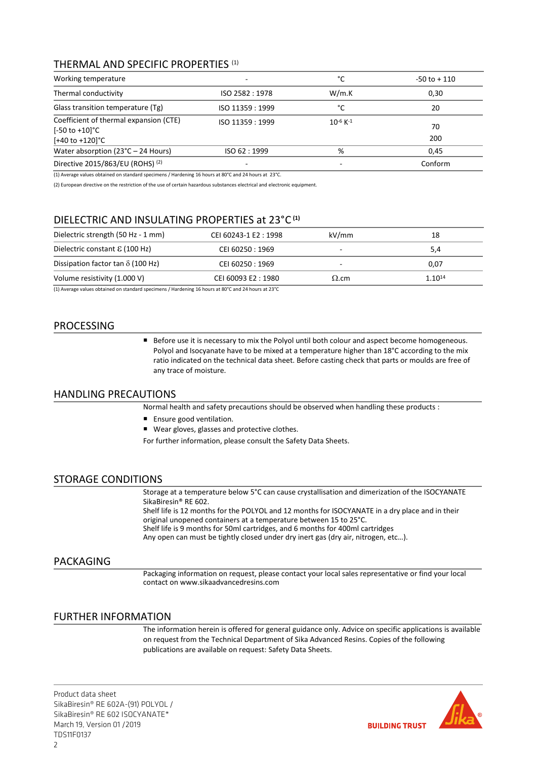## THERMAL AND SPECIFIC PROPERTIES (1)

| Working temperature                                                                                 | °C                       | $-50$ to $+110$           |           |
|-----------------------------------------------------------------------------------------------------|--------------------------|---------------------------|-----------|
| Thermal conductivity                                                                                | ISO 2582: 1978           | W/m.K                     | 0,30      |
| Glass transition temperature (Tg)                                                                   | ISO 11359 : 1999         | °C                        | 20        |
| Coefficient of thermal expansion (CTE)<br>$[-50 \text{ to } +10]$ °C<br>$[-40 \text{ to } +120]$ °C | ISO 11359 : 1999         | $10^{-6}$ K <sup>-1</sup> | 70<br>200 |
| Water absorption ( $23^{\circ}$ C – 24 Hours)                                                       | ISO 62:1999              | %                         | 0.45      |
| Directive 2015/863/EU (ROHS) (2)                                                                    | $\overline{\phantom{0}}$ | -                         | Conform   |

(1) Average values obtained on standard specimens / Hardening 16 hours at 80°C and 24 hours at 23°C.

(2) European directive on the restriction of the use of certain hazardous substances electrical and electronic equipment.

## DIELECTRIC AND INSULATING PROPERTIES at 23°C **(1)**

| Dielectric strength (50 Hz - 1 mm)       | CEI 60243-1 E2: 1998 | kV/mm        | 18          |
|------------------------------------------|----------------------|--------------|-------------|
| Dielectric constant $\epsilon$ (100 Hz)  | CEI 60250 : 1969     |              | 5,4         |
| Dissipation factor tan $\delta$ (100 Hz) | CEI 60250 : 1969     |              | 0,07        |
| Volume resistivity (1.000 V)             | CEI 60093 E2:1980    | $\Omega$ .cm | $1.10^{14}$ |
|                                          |                      |              |             |

(1) Average values obtained on standard specimens / Hardening 16 hours at 80°C and 24 hours at 23°C

## PROCESSING

Before use it is necessary to mix the Polyol until both colour and aspect become homogeneous. Polyol and Isocyanate have to be mixed at a temperature higher than 18°C according to the mix ratio indicated on the technical data sheet. Before casting check that parts or moulds are free of any trace of moisture.

## HANDLING PRECAUTIONS

Normal health and safety precautions should be observed when handling these products :

- **Ensure good ventilation.**
- Wear gloves, glasses and protective clothes.
- For further information, please consult the Safety Data Sheets.

## STORAGE CONDITIONS

Storage at a temperature below 5°C can cause crystallisation and dimerization of the ISOCYANATE SikaBiresin® RE 602.

Shelf life is 12 months for the POLYOL and 12 months for ISOCYANATE in a dry place and in their original unopened containers at a temperature between 15 to 25°C. Shelf life is 9 months for 50ml cartridges, and 6 months for 400ml cartridges

Any open can must be tightly closed under dry inert gas (dry air, nitrogen, etc…).

## PACKAGING

Packaging information on request, please contact your local sales representative or find your local contact on www.sikaadvancedresins.com

## FURTHER INFORMATION

The information herein is offered for general guidance only. Advice on specific applications is available on request from the Technical Department of Sika Advanced Resins. Copies of the following publications are available on request: Safety Data Sheets.

Product data sheet SikaBiresin® RE 602A-(91) POLYOL / SikaBiresin® RE 602 ISOCYANATE\* March 19, Version 01 /2019 TDS11F0137